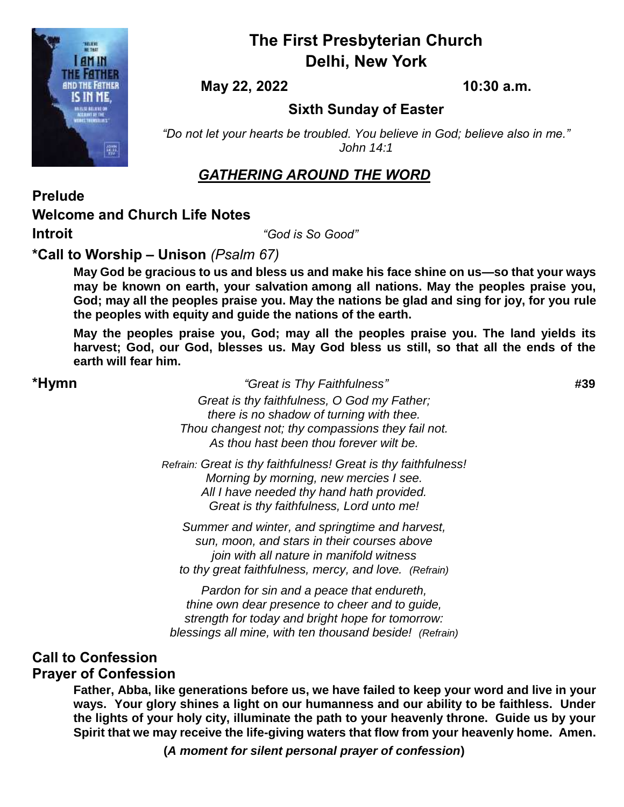

# **The First Presbyterian ChurchDelhi, New York**

**May 22, 2022 10:30 a.m.**

## **Sixth Sunday of Easter**

*"Do not let your hearts be troubled. You believe in God; believe also in me." John 14:1*

# *GATHERING AROUND THE WORD*

# **Prelude Welcome and Church Life Notes**

**Introit** *"God is So Good"*

## **\*Call to Worship – Unison** *(Psalm 67)*

**May God be gracious to us and bless us and make his face shine on us—so that your ways may be known on earth, your salvation among all nations. May the peoples praise you, God; may all the peoples praise you. May the nations be glad and sing for joy, for you rule the peoples with equity and guide the nations of the earth.**

**May the peoples praise you, God; may all the peoples praise you. The land yields its harvest; God, our God, blesses us. May God bless us still, so that all the ends of the earth will fear him.**

**\*Hymn** *"Great is Thy Faithfulness"* **#39** 

*Great is thy faithfulness, O God my Father; there is no shadow of turning with thee. Thou changest not; thy compassions they fail not. As thou hast been thou forever wilt be.*

*Refrain: Great is thy faithfulness! Great is thy faithfulness! Morning by morning, new mercies I see. All I have needed thy hand hath provided. Great is thy faithfulness, Lord unto me!*

*Summer and winter, and springtime and harvest, sun, moon, and stars in their courses above join with all nature in manifold witness to thy great faithfulness, mercy, and love. (Refrain)*

*Pardon for sin and a peace that endureth, thine own dear presence to cheer and to guide, strength for today and bright hope for tomorrow: blessings all mine, with ten thousand beside! (Refrain)*

### **Call to Confession Prayer of Confession**

**Father, Abba, like generations before us, we have failed to keep your word and live in your ways. Your glory shines a light on our humanness and our ability to be faithless. Under the lights of your holy city, illuminate the path to your heavenly throne. Guide us by your Spirit that we may receive the life-giving waters that flow from your heavenly home. Amen.**

**(***A moment for silent personal prayer of confession***)**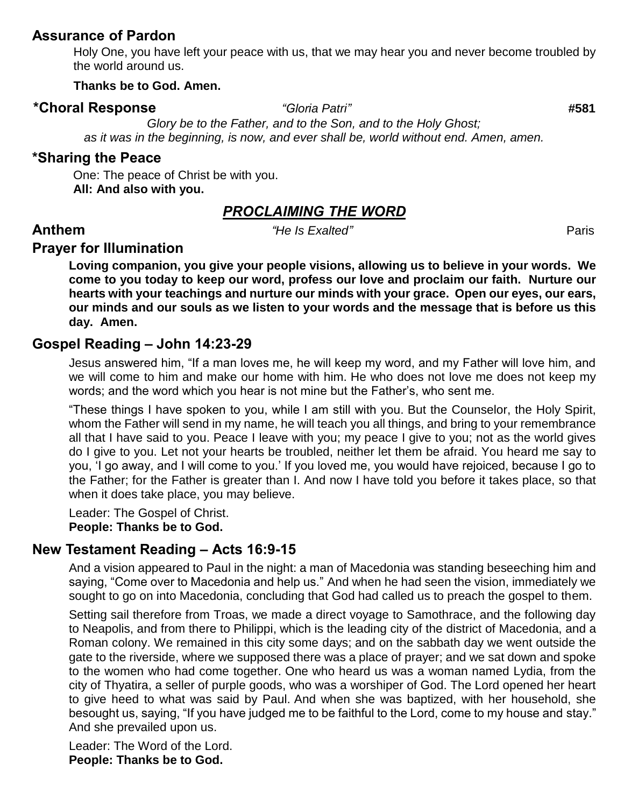#### **Assurance of Pardon**

Holy One, you have left your peace with us, that we may hear you and never become troubled by the world around us.

#### **Thanks be to God. Amen.**

#### **\*Choral Response** *"Gloria Patri"* **#581**

*Glory be to the Father, and to the Son, and to the Holy Ghost; as it was in the beginning, is now, and ever shall be, world without end. Amen, amen.*

**\*Sharing the Peace**

One: The peace of Christ be with you. **All: And also with you.**

# *PROCLAIMING THE WORD*

#### **Anthem** *"He Is Exalted"* Paris

### **Prayer for Illumination**

**Loving companion, you give your people visions, allowing us to believe in your words. We come to you today to keep our word, profess our love and proclaim our faith. Nurture our hearts with your teachings and nurture our minds with your grace. Open our eyes, our ears, our minds and our souls as we listen to your words and the message that is before us this day. Amen.**

### **Gospel Reading – John 14:23-29**

Jesus answered him, "If a man loves me, he will keep my word, and my Father will love him, and we will come to him and make our home with him. He who does not love me does not keep my words; and the word which you hear is not mine but the Father's, who sent me.

"These things I have spoken to you, while I am still with you. But the Counselor, the Holy Spirit, whom the Father will send in my name, he will teach you all things, and bring to your remembrance all that I have said to you. Peace I leave with you; my peace I give to you; not as the world gives do I give to you. Let not your hearts be troubled, neither let them be afraid. You heard me say to you, 'I go away, and I will come to you.' If you loved me, you would have rejoiced, because I go to the Father; for the Father is greater than I. And now I have told you before it takes place, so that when it does take place, you may believe.

Leader: The Gospel of Christ. **People: Thanks be to God.**

#### **New Testament Reading – Acts 16:9-15**

And a vision appeared to Paul in the night: a man of Macedonia was standing beseeching him and saying, "Come over to Macedonia and help us." And when he had seen the vision, immediately we sought to go on into Macedonia, concluding that God had called us to preach the gospel to them.

Setting sail therefore from Troas, we made a direct voyage to Samothrace, and the following day to Neapolis, and from there to Philippi, which is the leading city of the district of Macedonia, and a Roman colony. We remained in this city some days; and on the sabbath day we went outside the gate to the riverside, where we supposed there was a place of prayer; and we sat down and spoke to the women who had come together. One who heard us was a woman named Lydia, from the city of Thyatira, a seller of purple goods, who was a worshiper of God. The Lord opened her heart to give heed to what was said by Paul. And when she was baptized, with her household, she besought us, saying, "If you have judged me to be faithful to the Lord, come to my house and stay." And she prevailed upon us.

Leader: The Word of the Lord. **People: Thanks be to God.**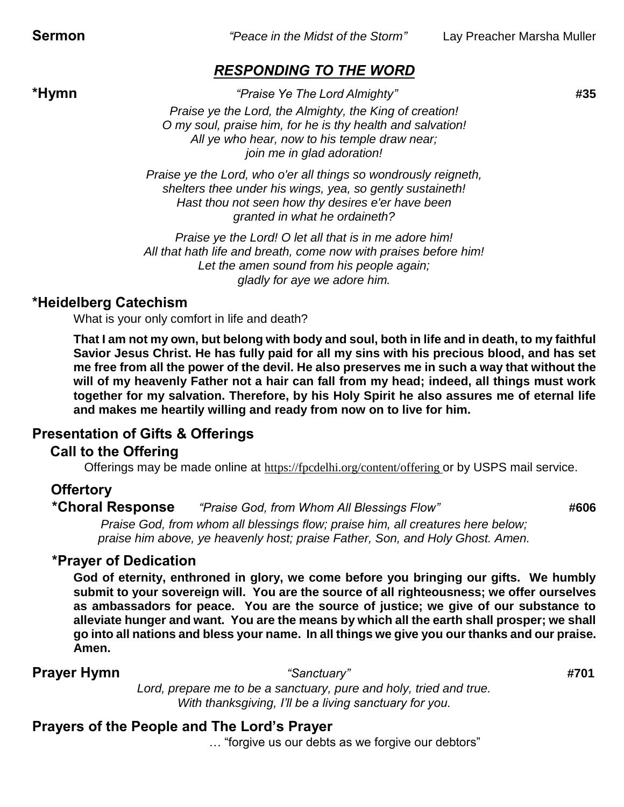# *RESPONDING TO THE WORD*

**\*Hymn** *"Praise Ye The Lord Almighty"* **#35**

*Praise ye the Lord, the Almighty, the King of creation! O my soul, praise him, for he is thy health and salvation! All ye who hear, now to his temple draw near; join me in glad adoration!*

*Praise ye the Lord, who o'er all things so wondrously reigneth, shelters thee under his wings, yea, so gently sustaineth! Hast thou not seen how thy desires e'er have been granted in what he ordaineth?*

*Praise ye the Lord! O let all that is in me adore him! All that hath life and breath, come now with praises before him! Let the amen sound from his people again; gladly for aye we adore him.*

#### **\*Heidelberg Catechism**

What is your only comfort in life and death?

**That I am not my own, but belong with body and soul, both in life and in death, to my faithful Savior Jesus Christ. He has fully paid for all my sins with his precious blood, and has set me free from all the power of the devil. He also preserves me in such a way that without the will of my heavenly Father not a hair can fall from my head; indeed, all things must work together for my salvation. Therefore, by his Holy Spirit he also assures me of eternal life and makes me heartily willing and ready from now on to live for him.**

## **Presentation of Gifts & Offerings**

#### **Call to the Offering**

Offerings may be made online at <https://fpcdelhi.org/content/offering> or by USPS mail service.

#### **Offertory**

#### **\*Choral Response** *"Praise God, from Whom All Blessings Flow"* **#606**

*Praise God, from whom all blessings flow; praise him, all creatures here below; praise him above, ye heavenly host; praise Father, Son, and Holy Ghost. Amen.*

#### **\*Prayer of Dedication**

**God of eternity, enthroned in glory, we come before you bringing our gifts. We humbly submit to your sovereign will. You are the source of all righteousness; we offer ourselves as ambassadors for peace. You are the source of justice; we give of our substance to alleviate hunger and want. You are the means by which all the earth shall prosper; we shall go into all nations and bless your name. In all things we give you our thanks and our praise. Amen.**

#### **Prayer Hymn** *"Sanctuary"* **#701**

*Lord, prepare me to be a sanctuary, pure and holy, tried and true. With thanksgiving, I'll be a living sanctuary for you.*

#### **Prayers of the People and The Lord's Prayer**

… "forgive us our debts as we forgive our debtors"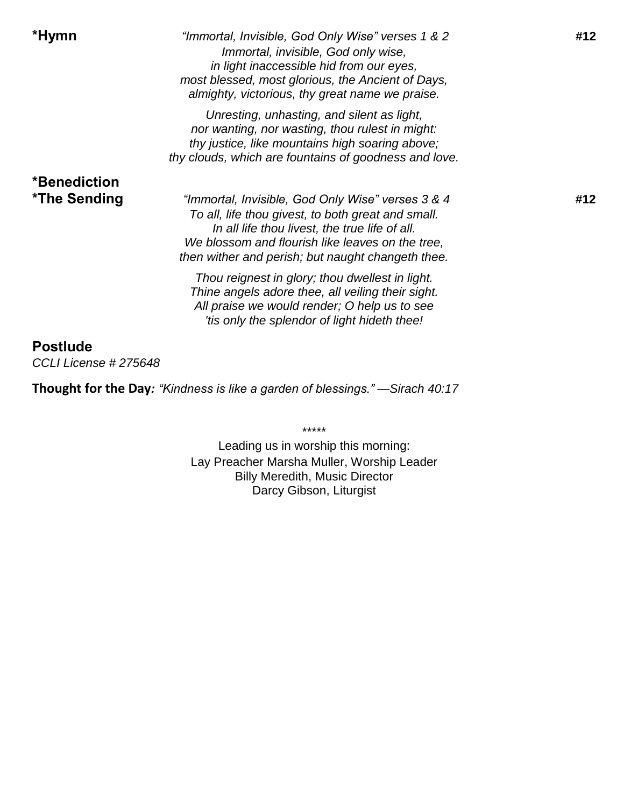| *Hymn           | "Immortal, Invisible, God Only Wise" verses 1 & 2<br>Immortal, invisible, God only wise,<br>in light inaccessible hid from our eyes,<br>most blessed, most glorious, the Ancient of Days,<br>almighty, victorious, thy great name we praise.                       | #12 |
|-----------------|--------------------------------------------------------------------------------------------------------------------------------------------------------------------------------------------------------------------------------------------------------------------|-----|
|                 | Unresting, unhasting, and silent as light,<br>nor wanting, nor wasting, thou rulest in might:<br>thy justice, like mountains high soaring above;<br>thy clouds, which are fountains of goodness and love.                                                          |     |
| *Benediction    |                                                                                                                                                                                                                                                                    |     |
| *The Sending    | "Immortal, Invisible, God Only Wise" verses 3 & 4<br>To all, life thou givest, to both great and small.<br>In all life thou livest, the true life of all.<br>We blossom and flourish like leaves on the tree,<br>then wither and perish; but naught changeth thee. | #12 |
|                 | Thou reignest in glory; thou dwellest in light.<br>Thine angels adore thee, all veiling their sight.<br>All praise we would render; O help us to see<br>'tis only the splendor of light hideth thee!                                                               |     |
| <b>Postlude</b> |                                                                                                                                                                                                                                                                    |     |

*CCLI License # 275648*

**Thought for the Day***: "Kindness is like a garden of blessings." —Sirach 40:17*

\*\*\*\*\*

Leading us in worship this morning: Lay Preacher Marsha Muller, Worship Leader Billy Meredith, Music Director Darcy Gibson, Liturgist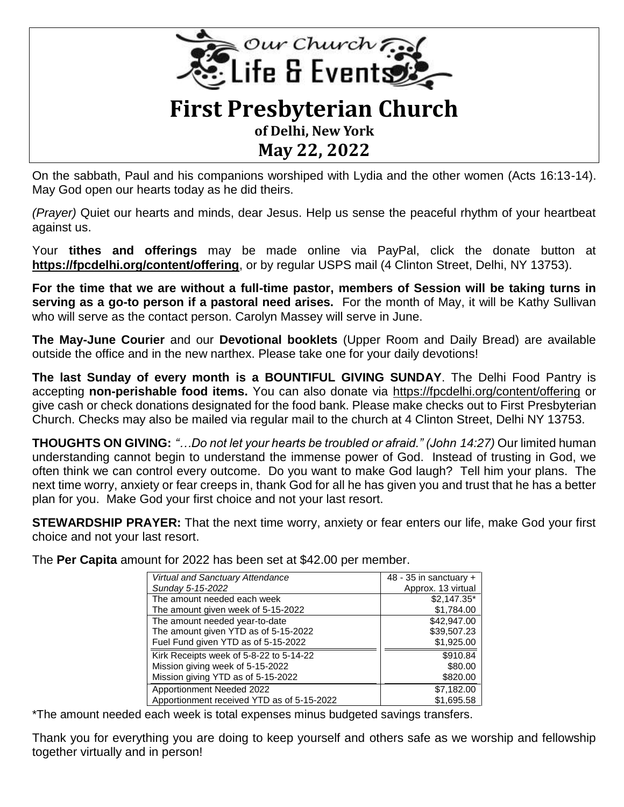

On the sabbath, Paul and his companions worshiped with Lydia and the other women (Acts 16:13-14). May God open our hearts today as he did theirs.

*(Prayer)* Quiet our hearts and minds, dear Jesus. Help us sense the peaceful rhythm of your heartbeat against us.

Your **tithes and offerings** may be made online via PayPal, click the donate button at **<https://fpcdelhi.org/content/offering>**, or by regular USPS mail (4 Clinton Street, Delhi, NY 13753).

**For the time that we are without a full-time pastor, members of Session will be taking turns in serving as a go-to person if a pastoral need arises.** For the month of May, it will be Kathy Sullivan who will serve as the contact person. Carolyn Massey will serve in June.

**The May-June Courier** and our **Devotional booklets** (Upper Room and Daily Bread) are available outside the office and in the new narthex. Please take one for your daily devotions!

**The last Sunday of every month is a BOUNTIFUL GIVING SUNDAY**. The Delhi Food Pantry is accepting **non-perishable food items.** You can also donate via<https://fpcdelhi.org/content/offering> or give cash or check donations designated for the food bank. Please make checks out to First Presbyterian Church. Checks may also be mailed via regular mail to the church at 4 Clinton Street, Delhi NY 13753.

**THOUGHTS ON GIVING:** *"…Do not let your hearts be troubled or afraid." (John 14:27)* Our limited human understanding cannot begin to understand the immense power of God. Instead of trusting in God, we often think we can control every outcome. Do you want to make God laugh? Tell him your plans. The next time worry, anxiety or fear creeps in, thank God for all he has given you and trust that he has a better plan for you. Make God your first choice and not your last resort.

**STEWARDSHIP PRAYER:** That the next time worry, anxiety or fear enters our life, make God your first choice and not your last resort.

The **Per Capita** amount for 2022 has been set at \$42.00 per member.

| <b>Virtual and Sanctuary Attendance</b>    | 48 - 35 in sanctuary $+$ |
|--------------------------------------------|--------------------------|
| Sunday 5-15-2022                           | Approx. 13 virtual       |
| The amount needed each week                | $$2,147.35*$             |
| The amount given week of 5-15-2022         | \$1,784.00               |
| The amount needed year-to-date             | \$42,947.00              |
| The amount given YTD as of 5-15-2022       | \$39,507.23              |
| Fuel Fund given YTD as of 5-15-2022        | \$1,925.00               |
| Kirk Receipts week of 5-8-22 to 5-14-22    | \$910.84                 |
| Mission giving week of 5-15-2022           | \$80.00                  |
| Mission giving YTD as of 5-15-2022         | \$820.00                 |
| Apportionment Needed 2022                  | \$7,182.00               |
| Apportionment received YTD as of 5-15-2022 | \$1,695.58               |

\*The amount needed each week is total expenses minus budgeted savings transfers.

Thank you for everything you are doing to keep yourself and others safe as we worship and fellowship together virtually and in person!